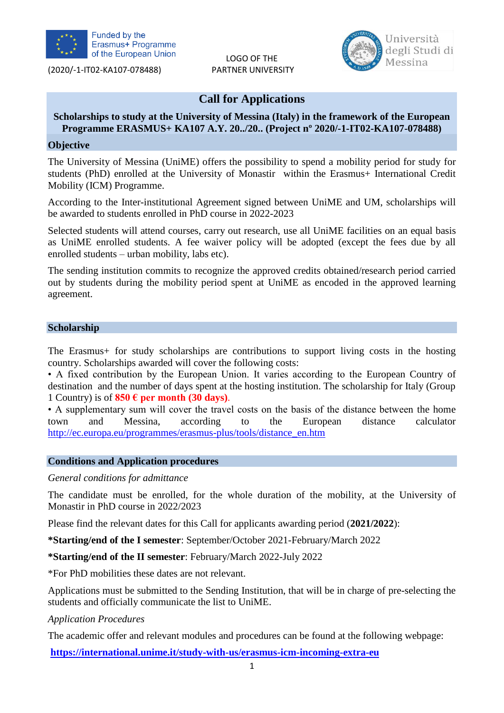

LOGO OF THE



## **Call for Applications**

## **Scholarships to study at the University of Messina (Italy) in the framework of the European Programme ERASMUS+ KA107 A.Y. 20../20.. (Project nº 2020/-1-IT02-KA107-078488)**

### **Objective**

The University of Messina (UniME) offers the possibility to spend a mobility period for study for students (PhD) enrolled at the University of Monastir within the Erasmus+ International Credit Mobility (ICM) Programme.

According to the Inter-institutional Agreement signed between UniME and UM, scholarships will be awarded to students enrolled in PhD course in 2022-2023

Selected students will attend courses, carry out research, use all UniME facilities on an equal basis as UniME enrolled students. A fee waiver policy will be adopted (except the fees due by all enrolled students – urban mobility, labs etc).

The sending institution commits to recognize the approved credits obtained/research period carried out by students during the mobility period spent at UniME as encoded in the approved learning agreement.

### **Scholarship**

The Erasmus+ for study scholarships are contributions to support living costs in the hosting country. Scholarships awarded will cover the following costs:

• A fixed contribution by the European Union. It varies according to the European Country of destination and the number of days spent at the hosting institution. The scholarship for Italy (Group 1 Country) is of  $850 \text{ }\epsilon$  per month (30 days).

• A supplementary sum will cover the travel costs on the basis of the distance between the home town and Messina, according to the European distance calculator [http://ec.europa.eu/programmes/erasmus-plus/tools/distance\\_en.htm](http://ec.europa.eu/programmes/erasmus-plus/tools/distance_en.htm)

### **Conditions and Application procedures**

### *General conditions for admittance*

The candidate must be enrolled, for the whole duration of the mobility, at the University of Monastir in PhD course in 2022/2023

Please find the relevant dates for this Call for applicants awarding period (**2021/2022**):

**\*Starting/end of the I semester**: September/October 2021-February/March 2022

**\*Starting/end of the II semester**: February/March 2022-July 2022

\*For PhD mobilities these dates are not relevant.

Applications must be submitted to the Sending Institution, that will be in charge of pre-selecting the students and officially communicate the list to UniME.

### *Application Procedures*

The academic offer and relevant modules and procedures can be found at the following webpage:

**<https://international.unime.it/study-with-us/erasmus-icm-incoming-extra-eu>**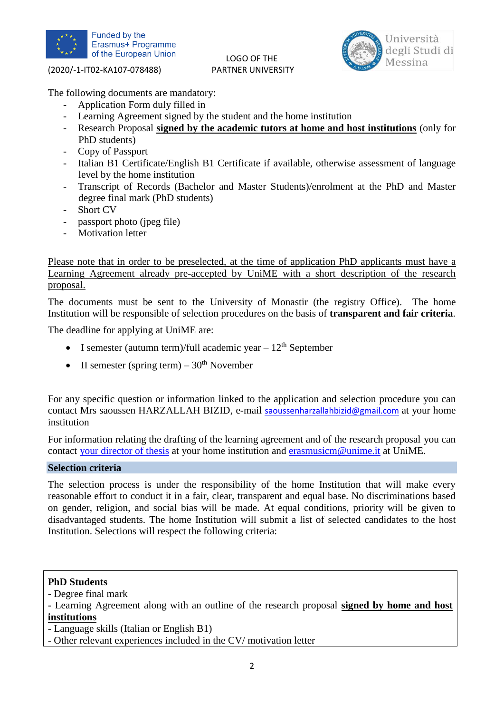

# LOGO OF THE



The following documents are mandatory:

- Application Form duly filled in
- Learning Agreement signed by the student and the home institution
- Research Proposal **signed by the academic tutors at home and host institutions** (only for PhD students)
- Copy of Passport
- Italian B1 Certificate/English B1 Certificate if available, otherwise assessment of language level by the home institution
- Transcript of Records (Bachelor and Master Students)/enrolment at the PhD and Master degree final mark (PhD students)
- Short CV
- passport photo (jpeg file)
- Motivation letter

Please note that in order to be preselected, at the time of application PhD applicants must have a Learning Agreement already pre-accepted by UniME with a short description of the research proposal.

The documents must be sent to the University of Monastir (the registry Office). The home Institution will be responsible of selection procedures on the basis of **transparent and fair criteria**.

The deadline for applying at UniME are:

- I semester (autumn term)/full academic year  $-12<sup>th</sup>$  September
- II semester (spring term)  $30<sup>th</sup>$  November

For any specific question or information linked to the application and selection procedure you can contact Mrs saoussen HARZALLAH BIZID, e-mail [saoussenharzallahbizid@gmail.com](mailto:saoussenharzallahbizid@gmail.com) at your home institution

For information relating the drafting of the learning agreement and of the research proposal you can contact [your](mailto:your) director of thesis at your home institution and [erasmusicm@unime.it](mailto:erasmusicm@unime.it) at UniME.

### **Selection criteria**

The selection process is under the responsibility of the home Institution that will make every reasonable effort to conduct it in a fair, clear, transparent and equal base. No discriminations based on gender, religion, and social bias will be made. At equal conditions, priority will be given to disadvantaged students. The home Institution will submit a list of selected candidates to the host Institution. Selections will respect the following criteria:

### **PhD Students**

- Degree final mark

- Language skills (Italian or English B1)

- Other relevant experiences included in the CV/ motivation letter

<sup>-</sup> Learning Agreement along with an outline of the research proposal **signed by home and host institutions**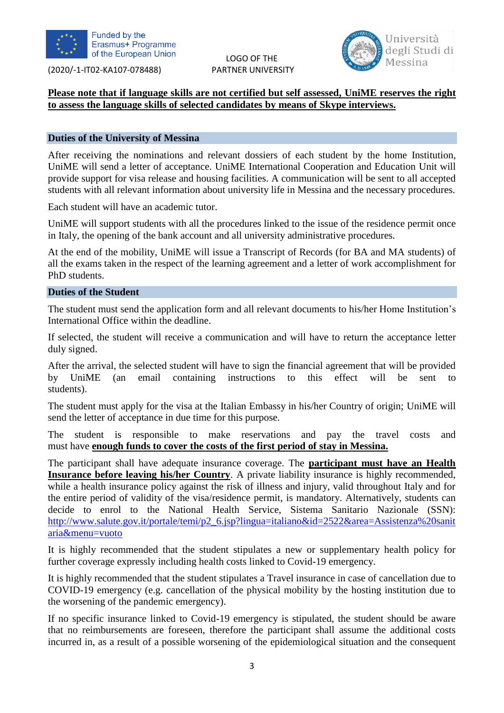

LOGO OF THE



## **Please note that if language skills are not certified but self assessed, UniME reserves the right to assess the language skills of selected candidates by means of Skype interviews.**

### **Duties of the University of Messina**

After receiving the nominations and relevant dossiers of each student by the home Institution, UniME will send a letter of acceptance. UniME International Cooperation and Education Unit will provide support for visa release and housing facilities. A communication will be sent to all accepted students with all relevant information about university life in Messina and the necessary procedures.

Each student will have an academic tutor.

UniME will support students with all the procedures linked to the issue of the residence permit once in Italy, the opening of the bank account and all university administrative procedures.

At the end of the mobility, UniME will issue a Transcript of Records (for BA and MA students) of all the exams taken in the respect of the learning agreement and a letter of work accomplishment for PhD students.

### **Duties of the Student**

The student must send the application form and all relevant documents to his/her Home Institution's International Office within the deadline.

If selected, the student will receive a communication and will have to return the acceptance letter duly signed.

After the arrival, the selected student will have to sign the financial agreement that will be provided by UniME (an email containing instructions to this effect will be sent to students).

The student must apply for the visa at the Italian Embassy in his/her Country of origin; UniME will send the letter of acceptance in due time for this purpose.

student is responsible to make reservations and pay the travel costs and must have **enough funds to cover the costs of the first period of stay in Messina.**

The participant shall have adequate insurance coverage. The **participant must have an Health Insurance before leaving his/her Country**. A private liability insurance is highly recommended, while a health insurance policy against the risk of illness and injury, valid throughout Italy and for the entire period of validity of the visa/residence permit, is mandatory. Alternatively, students can decide to enrol to the National Health Service, Sistema Sanitario Nazionale (SSN): [http://www.salute.gov.it/portale/temi/p2\\_6.jsp?lingua=italiano&id=2522&area=Assistenza%20sanit](http://www.salute.gov.it/portale/temi/p2_6.jsp?lingua=italiano&id=2522&area=Assistenza%20sanitaria&menu=vuoto) [aria&menu=vuoto](http://www.salute.gov.it/portale/temi/p2_6.jsp?lingua=italiano&id=2522&area=Assistenza%20sanitaria&menu=vuoto)

It is highly recommended that the student stipulates a new or supplementary health policy for further coverage expressly including health costs linked to Covid-19 emergency.

It is highly recommended that the student stipulates a Travel insurance in case of cancellation due to COVID-19 emergency (e.g. cancellation of the physical mobility by the hosting institution due to the worsening of the pandemic emergency).

If no specific insurance linked to Covid-19 emergency is stipulated, the student should be aware that no reimbursements are foreseen, therefore the participant shall assume the additional costs incurred in, as a result of a possible worsening of the epidemiological situation and the consequent